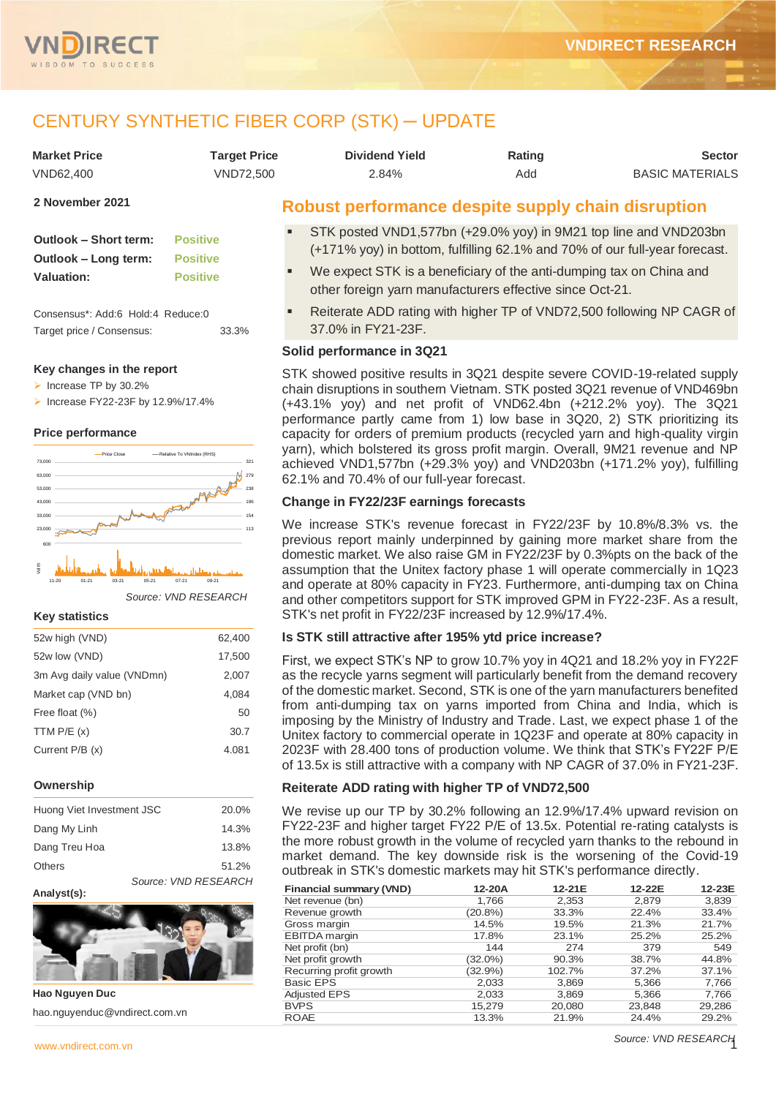

# CENTURY SYNTHETIC FIBER CORP (STK) ─ UPDATE

| <b>Market Price</b> | <b>Target Price</b> | <b>Dividend Yield</b> | Rating | <b>Sector</b>          |
|---------------------|---------------------|-----------------------|--------|------------------------|
| VND62.400           | VND72.500           | 2.84%                 | Add    | <b>BASIC MATERIALS</b> |
|                     |                     |                       |        |                        |

```
2 November 2021
```

| Outlook - Short term: | <b>Positive</b> |
|-----------------------|-----------------|
| Outlook - Long term:  | <b>Positive</b> |
| <b>Valuation:</b>     | <b>Positive</b> |

Consensus\*: Add:6 Hold:4 Reduce:0 Target price / Consensus: 33.3%

## **Key changes in the report**

- ➢ Increase TP by 30.2%
- ➢ Increase FY22-23F by 12.9%/17.4%

### **Price performance**



*Source: VND RESEARCH*

#### **Key statistics**

| 52w high (VND)             | 62,400 |
|----------------------------|--------|
| 52w low (VND)              | 17,500 |
| 3m Avg daily value (VNDmn) | 2,007  |
| Market cap (VND bn)        | 4.084  |
| Free float (%)             | 50     |
| TTM $P/E(x)$               | 30.7   |
| Current P/B (x)            | 4.081  |
|                            |        |

## **Ownership**

| Huong Viet Investment JSC |                      | 20.0% |
|---------------------------|----------------------|-------|
| Dang My Linh              |                      | 14.3% |
| Dang Treu Hoa             |                      | 13.8% |
| <b>Others</b>             |                      | 51.2% |
|                           | Source: VND RESEARCH |       |

#### **Analyst(s):**



**Hao Nguyen Duc** hao.nguyenduc@vndirect.com.vn

## **Robust performance despite supply chain disruption**

- STK posted VND1,577bn (+29.0% yoy) in 9M21 top line and VND203bn (+171% yoy) in bottom, fulfilling 62.1% and 70% of our full-year forecast.
- We expect STK is a beneficiary of the anti-dumping tax on China and other foreign yarn manufacturers effective since Oct-21.
- Reiterate ADD rating with higher TP of VND72,500 following NP CAGR of 37.0% in FY21-23F.

## **Solid performance in 3Q21**

STK showed positive results in 3Q21 despite severe COVID-19-related supply chain disruptions in southern Vietnam. STK posted 3Q21 revenue of VND469bn (+43.1% yoy) and net profit of VND62.4bn (+212.2% yoy). The 3Q21 performance partly came from 1) low base in 3Q20, 2) STK prioritizing its capacity for orders of premium products (recycled yarn and high-quality virgin yarn), which bolstered its gross profit margin. Overall, 9M21 revenue and NP achieved VND1,577bn (+29.3% yoy) and VND203bn (+171.2% yoy), fulfilling 62.1% and 70.4% of our full-year forecast.

## **Change in FY22/23F earnings forecasts**

We increase STK's revenue forecast in FY22/23F by 10.8%/8.3% vs. the previous report mainly underpinned by gaining more market share from the domestic market. We also raise GM in FY22/23F by 0.3%pts on the back of the assumption that the Unitex factory phase 1 will operate commercially in 1Q23 and operate at 80% capacity in FY23. Furthermore, anti-dumping tax on China and other competitors support for STK improved GPM in FY22-23F. As a result, STK's net profit in FY22/23F increased by 12.9%/17.4%.

## **Is STK still attractive after 195% ytd price increase?**

First, we expect STK's NP to grow 10.7% yoy in 4Q21 and 18.2% yoy in FY22F as the recycle yarns segment will particularly benefit from the demand recovery of the domestic market. Second, STK is one of the yarn manufacturers benefited from anti-dumping tax on yarns imported from China and India, which is imposing by the Ministry of Industry and Trade. Last, we expect phase 1 of the Unitex factory to commercial operate in 1Q23F and operate at 80% capacity in 2023F with 28.400 tons of production volume. We think that STK's FY22F P/E of 13.5x is still attractive with a company with NP CAGR of 37.0% in FY21-23F.

## **Reiterate ADD rating with higher TP of VND72,500**

We revise up our TP by 30.2% following an 12.9%/17.4% upward revision on FY22-23F and higher target FY22 P/E of 13.5x. Potential re-rating catalysts is the more robust growth in the volume of recycled yarn thanks to the rebound in market demand. The key downside risk is the worsening of the Covid-19 outbreak in STK's domestic markets may hit STK's performance directly.

| <b>Financial summary (VND)</b> | 12-20A     | 12-21E | 12-22E | 12-23E |
|--------------------------------|------------|--------|--------|--------|
| Net revenue (bn)               | 1,766      | 2,353  | 2,879  | 3,839  |
| Revenue growth                 | $(20.8\%)$ | 33.3%  | 22.4%  | 33.4%  |
| Gross margin                   | 14.5%      | 19.5%  | 21.3%  | 21.7%  |
| EBITDA margin                  | 17.8%      | 23.1%  | 25.2%  | 25.2%  |
| Net profit (bn)                | 144        | 274    | 379    | 549    |
| Net profit growth              | (32.0%)    | 90.3%  | 38.7%  | 44.8%  |
| Recurring profit growth        | $(32.9\%)$ | 102.7% | 37.2%  | 37.1%  |
| <b>Basic EPS</b>               | 2,033      | 3,869  | 5,366  | 7,766  |
| <b>Adjusted EPS</b>            | 2,033      | 3,869  | 5,366  | 7,766  |
| <b>BVPS</b>                    | 15,279     | 20,080 | 23,848 | 29,286 |
| <b>ROAE</b>                    | 13.3%      | 21.9%  | 24.4%  | 29.2%  |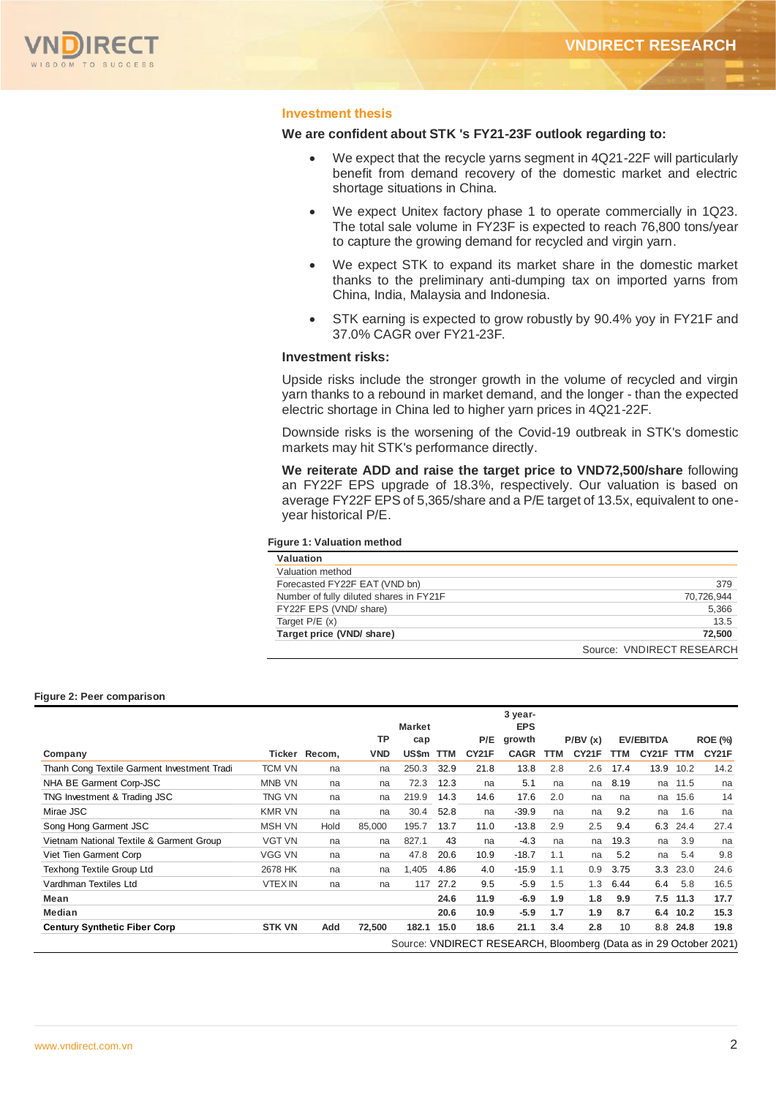

## **Investment thesis**

### **We are confident about STK 's FY21-23F outlook regarding to:**

- We expect that the recycle yarns segment in 4Q21-22F will particularly benefit from demand recovery of the domestic market and electric shortage situations in China.
- We expect Unitex factory phase 1 to operate commercially in 1Q23. The total sale volume in FY23F is expected to reach 76,800 tons/year to capture the growing demand for recycled and virgin yarn.
- We expect STK to expand its market share in the domestic market thanks to the preliminary anti-dumping tax on imported yarns from China, India, Malaysia and Indonesia.
- STK earning is expected to grow robustly by 90.4% yoy in FY21F and 37.0% CAGR over FY21-23F.

### **Investment risks:**

Upside risks include the stronger growth in the volume of recycled and virgin yarn thanks to a rebound in market demand, and the longer - than the expected electric shortage in China led to higher yarn prices in 4Q21-22F.

Downside risks is the worsening of the Covid-19 outbreak in STK's domestic markets may hit STK's performance directly.

**We reiterate ADD and raise the target price to VND72,500/share** following an FY22F EPS upgrade of 18.3%, respectively. Our valuation is based on average FY22F EPS of 5,365/share and a P/E target of 13.5x, equivalent to oneyear historical P/E.

#### **Figure 1: Valuation method**

| Valuation                               |                           |
|-----------------------------------------|---------------------------|
| Valuation method                        |                           |
| Forecasted FY22F EAT (VND bn)           | 379                       |
| Number of fully diluted shares in FY21F | 70,726,944                |
| FY22F EPS (VND/ share)                  | 5,366                     |
| Target $P/E(x)$                         | 13.5                      |
| Target price (VND/ share)               | 72,500                    |
|                                         | Source: VNDIRECT RESEARCH |

#### **Figure 2: Peer comparison**

|                                             |                |               |            |                      |            |       | 3 year-                                                           |     |         |      |                  |            |                |
|---------------------------------------------|----------------|---------------|------------|----------------------|------------|-------|-------------------------------------------------------------------|-----|---------|------|------------------|------------|----------------|
|                                             |                |               | ТP         | <b>Market</b><br>cap |            | P/E   | <b>EPS</b><br>growth                                              |     | P/BV(x) |      | <b>EV/EBITDA</b> |            | <b>ROE (%)</b> |
| Company                                     |                | Ticker Recom, | <b>VND</b> | US\$m                | <b>TTM</b> | CY21F | <b>CAGR</b>                                                       | TTM | CY21F   | TTM  | CY21F            | <b>TTM</b> | CY21F          |
| Thanh Cong Textile Garment Investment Tradi | <b>TCM VN</b>  | na            | na         | 250.3                | 32.9       | 21.8  | 13.8                                                              | 2.8 | 2.6     | 17.4 | 13.9             | 10.2       | 14.2           |
| NHA BE Garment Corp-JSC                     | <b>MNB VN</b>  | na            | na         | 72.3                 | 12.3       | na    | 5.1                                                               | na  | na      | 8.19 | na               | 11.5       | na             |
| TNG Investment & Trading JSC                | TNG VN         | na            | na         | 219.9                | 14.3       | 14.6  | 17.6                                                              | 2.0 | na      | na   | na               | 15.6       | 14             |
| Mirae JSC                                   | <b>KMR VN</b>  | na            | na         | 30.4                 | 52.8       | na    | $-39.9$                                                           | na  | na      | 9.2  | na               | 1.6        | na             |
| Song Hong Garment JSC                       | <b>MSH VN</b>  | Hold          | 85,000     | 195.7                | 13.7       | 11.0  | $-13.8$                                                           | 2.9 | 2.5     | 9.4  | 6.3              | 24.4       | 27.4           |
| Vietnam National Textile & Garment Group    | <b>VGT VN</b>  | na            | na         | 827.1                | 43         | na    | $-4.3$                                                            | na  | na      | 19.3 | na               | 3.9        | na             |
| Viet Tien Garment Corp                      | <b>VGG VN</b>  | na            | na         | 47.8                 | 20.6       | 10.9  | $-18.7$                                                           | 1.1 | na      | 5.2  | na               | 5.4        | 9.8            |
| <b>Texhong Textile Group Ltd</b>            | 2678 HK        | na            | na         | 1,405                | 4.86       | 4.0   | $-15.9$                                                           | 1.1 | 0.9     | 3.75 | 3.3              | 23.0       | 24.6           |
| Vardhman Textiles Ltd                       | <b>VTEX IN</b> | na            | na         | 117                  | 27.2       | 9.5   | $-5.9$                                                            | 1.5 | 1.3     | 6.44 | 6.4              | 5.8        | 16.5           |
| Mean                                        |                |               |            |                      | 24.6       | 11.9  | $-6.9$                                                            | 1.9 | 1.8     | 9.9  | 7.5              | 11.3       | 17.7           |
| <b>Median</b>                               |                |               |            |                      | 20.6       | 10.9  | $-5.9$                                                            | 1.7 | 1.9     | 8.7  | 6.4              | 10.2       | 15.3           |
| <b>Century Synthetic Fiber Corp</b>         | <b>STK VN</b>  | Add           | 72,500     | 182.1                | 15.0       | 18.6  | 21.1                                                              | 3.4 | 2.8     | 10   | 8.8              | 24.8       | 19.8           |
|                                             |                |               |            |                      |            |       | Source: VNDIRECT RESEARCH, Bloomberg (Data as in 29 October 2021) |     |         |      |                  |            |                |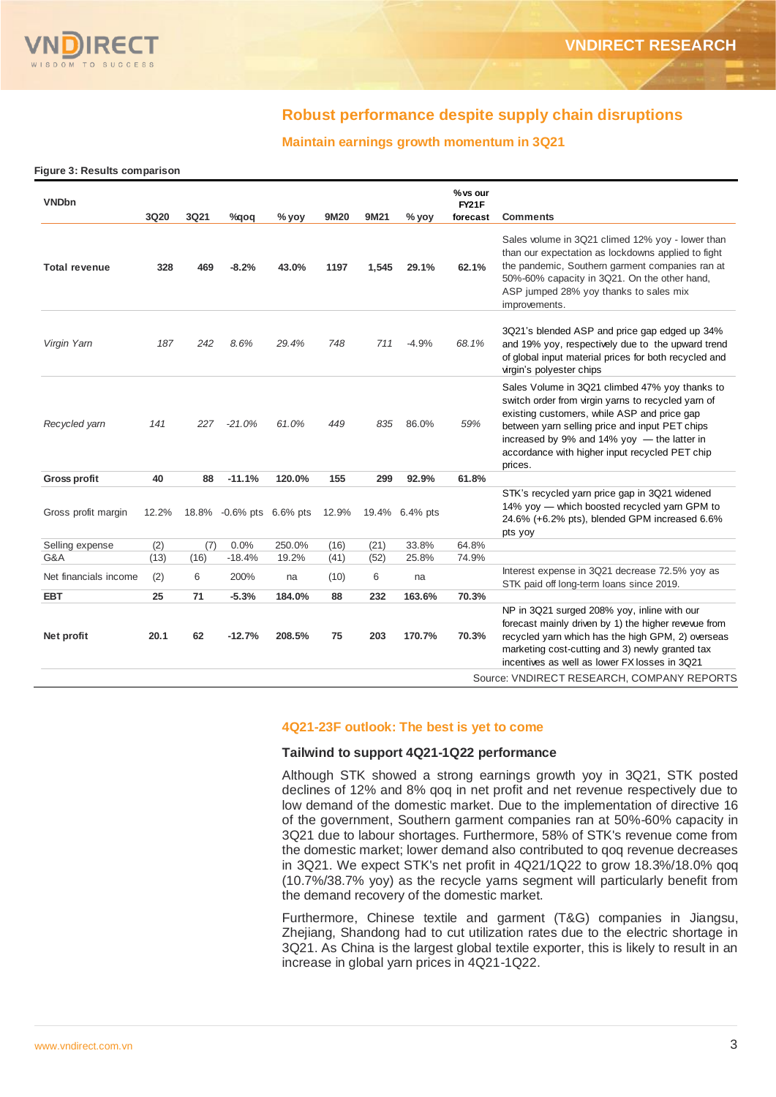

## **Robust performance despite supply chain disruptions**

## **Maintain earnings growth momentum in 3Q21**

|  |  |  | Figure 3: Results comparison |
|--|--|--|------------------------------|
|--|--|--|------------------------------|

| <b>VNDbn</b>          | 3Q20  | 3Q21 | $\%$ qoq                 | $%$ yoy | 9M20  | 9M21  | % yoy          | % vs our<br>FY21F<br>forecast | <b>Comments</b>                                                                                                                                                                                                                                                                                                     |
|-----------------------|-------|------|--------------------------|---------|-------|-------|----------------|-------------------------------|---------------------------------------------------------------------------------------------------------------------------------------------------------------------------------------------------------------------------------------------------------------------------------------------------------------------|
| <b>Total revenue</b>  | 328   | 469  | $-8.2%$                  | 43.0%   | 1197  | 1,545 | 29.1%          | 62.1%                         | Sales volume in 3Q21 climed 12% yoy - lower than<br>than our expectation as lockdowns applied to fight<br>the pandemic, Southern garment companies ran at<br>50%-60% capacity in 3Q21. On the other hand,<br>ASP jumped 28% yoy thanks to sales mix<br>improvements.                                                |
| Virgin Yam            | 187   | 242  | 8.6%                     | 29.4%   | 748   | 711   | $-4.9%$        | 68.1%                         | 3Q21's blended ASP and price gap edged up 34%<br>and 19% yoy, respectively due to the upward trend<br>of global input material prices for both recycled and<br>virgin's polyester chips                                                                                                                             |
| Recycled yarn         | 141   | 227  | $-21.0%$                 | 61.0%   | 449   | 835   | 86.0%          | 59%                           | Sales Volume in 3Q21 climbed 47% yoy thanks to<br>switch order from virgin yarns to recycled yarn of<br>existing customers, while ASP and price gap<br>between yarn selling price and input PET chips<br>increased by 9% and 14% yoy $-$ the latter in<br>accordance with higher input recycled PET chip<br>prices. |
| <b>Gross profit</b>   | 40    | 88   | $-11.1%$                 | 120.0%  | 155   | 299   | 92.9%          | 61.8%                         |                                                                                                                                                                                                                                                                                                                     |
| Gross profit margin   | 12.2% |      | 18.8% -0.6% pts 6.6% pts |         | 12.9% |       | 19.4% 6.4% pts |                               | STK's recycled yarn price gap in 3Q21 widened<br>14% yoy — which boosted recycled yarn GPM to<br>24.6% (+6.2% pts), blended GPM increased 6.6%<br>pts yoy                                                                                                                                                           |
| Selling expense       | (2)   | (7)  | 0.0%                     | 250.0%  | (16)  | (21)  | 33.8%          | 64.8%                         |                                                                                                                                                                                                                                                                                                                     |
| G&A                   | (13)  | (16) | $-18.4%$                 | 19.2%   | (41)  | (52)  | 25.8%          | 74.9%                         |                                                                                                                                                                                                                                                                                                                     |
| Net financials income | (2)   | 6    | 200%                     | na      | (10)  | 6     | na             |                               | Interest expense in 3Q21 decrease 72.5% yoy as<br>STK paid off long-term loans since 2019.                                                                                                                                                                                                                          |
| <b>EBT</b>            | 25    | 71   | $-5.3%$                  | 184.0%  | 88    | 232   | 163.6%         | 70.3%                         |                                                                                                                                                                                                                                                                                                                     |
| Net profit            | 20.1  | 62   | $-12.7%$                 | 208.5%  | 75    | 203   | 170.7%         | 70.3%                         | NP in 3Q21 surged 208% yoy, inline with our<br>forecast mainly driven by 1) the higher revevue from<br>recycled yarn which has the high GPM, 2) overseas<br>marketing cost-cutting and 3) newly granted tax<br>incentives as well as lower FX losses in 3Q21                                                        |
|                       |       |      |                          |         |       |       |                |                               | Source: VNDIRECT RESEARCH, COMPANY REPORTS                                                                                                                                                                                                                                                                          |

#### **4Q21-23F outlook: The best is yet to come**

### **Tailwind to support 4Q21-1Q22 performance**

Although STK showed a strong earnings growth yoy in 3Q21, STK posted declines of 12% and 8% qoq in net profit and net revenue respectively due to low demand of the domestic market. Due to the implementation of directive 16 of the government, Southern garment companies ran at 50%-60% capacity in 3Q21 due to labour shortages. Furthermore, 58% of STK's revenue come from the domestic market; lower demand also contributed to qoq revenue decreases in 3Q21. We expect STK's net profit in 4Q21/1Q22 to grow 18.3%/18.0% qoq (10.7%/38.7% yoy) as the recycle yarns segment will particularly benefit from the demand recovery of the domestic market.

Furthermore, Chinese textile and garment (T&G) companies in Jiangsu, Zhejiang, Shandong had to cut utilization rates due to the electric shortage in 3Q21. As China is the largest global textile exporter, this is likely to result in an increase in global yarn prices in 4Q21-1Q22.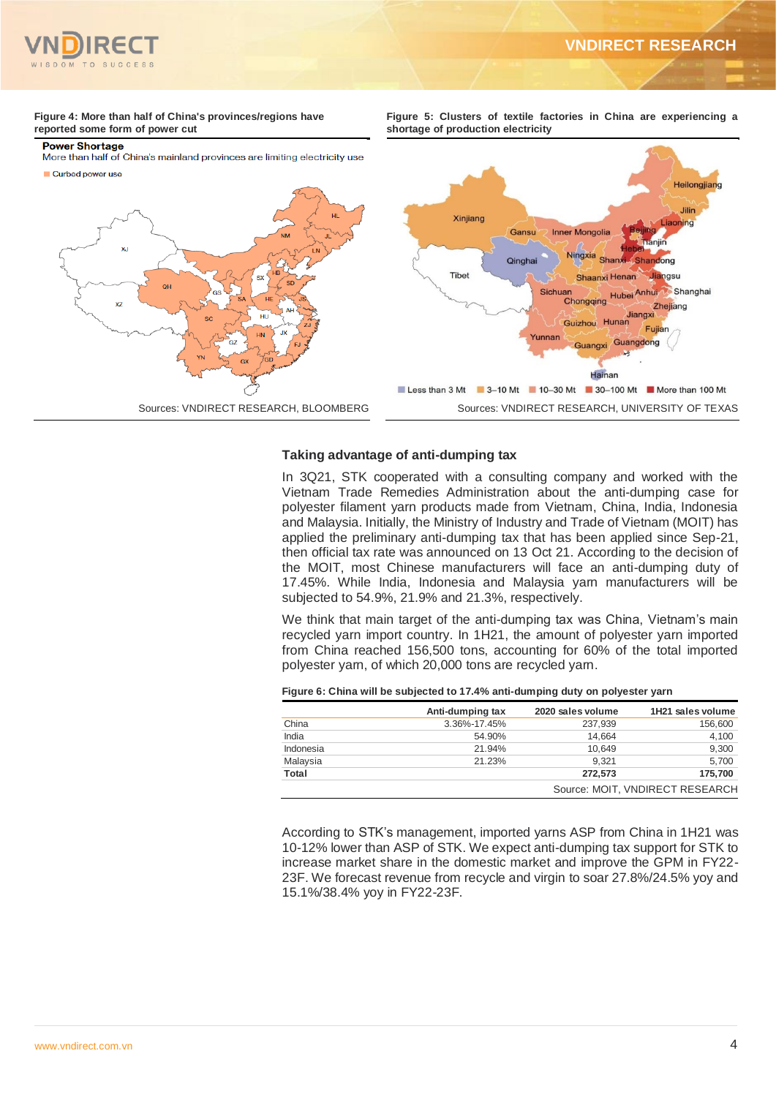

## **VNDIRECT RESEARCH**

**Figure 5: Clusters of textile factories in China are experiencing a** 

#### **Figure 4: More than half of China's provinces/regions have reported some form of power cut**

#### **Power Shortage**

Curbed nower use

More than half of China's mainland provinces are limiting electricity use



#### **Taking advantage of anti-dumping tax**

In 3Q21, STK cooperated with a consulting company and worked with the Vietnam Trade Remedies Administration about the anti-dumping case for polyester filament yarn products made from Vietnam, China, India, Indonesia and Malaysia. Initially, the Ministry of Industry and Trade of Vietnam (MOIT) has applied the preliminary anti-dumping tax that has been applied since Sep-21, then official tax rate was announced on 13 Oct 21. According to the decision of the MOIT, most Chinese manufacturers will face an anti-dumping duty of 17.45%. While India, Indonesia and Malaysia yarn manufacturers will be subjected to 54.9%, 21.9% and 21.3%, respectively.

We think that main target of the anti-dumping tax was China, Vietnam's main recycled yarn import country. In 1H21, the amount of polyester yarn imported from China reached 156,500 tons, accounting for 60% of the total imported polyester yarn, of which 20,000 tons are recycled yarn.

|           | Anti-dumping tax | 2020 sales volume | 1H21 sales volume |
|-----------|------------------|-------------------|-------------------|
| China     | 3.36%-17.45%     | 237.939           | 156,600           |
| India     | 54.90%           | 14.664            | 4.100             |
| Indonesia | 21.94%           | 10.649            | 9.300             |
| Malaysia  | 21.23%           | 9.321             | 5,700             |

**Total 272,573 175,700**

|  | Figure 6: China will be subjected to 17.4% anti-dumping duty on polyester yarn |  |  |
|--|--------------------------------------------------------------------------------|--|--|
|--|--------------------------------------------------------------------------------|--|--|

According to STK's management, imported yarns ASP from China in 1H21 was 10-12% lower than ASP of STK. We expect anti-dumping tax support for STK to increase market share in the domestic market and improve the GPM in FY22- 23F. We forecast revenue from recycle and virgin to soar 27.8%/24.5% yoy and 15.1%/38.4% yoy in FY22-23F.

Source: MOIT, VNDIRECT RESEARCH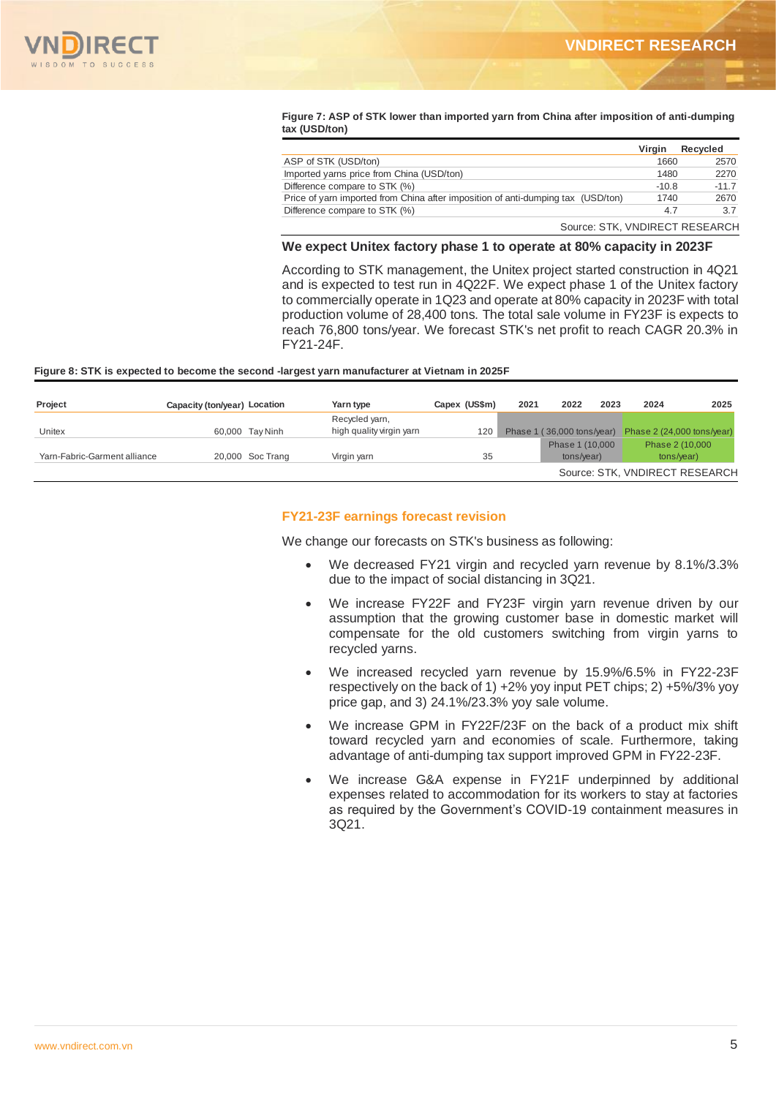

#### **Figure 7: ASP of STK lower than imported yarn from China after imposition of anti-dumping tax (USD/ton)**

|                                                                                  | Virgin  | Recycled |
|----------------------------------------------------------------------------------|---------|----------|
| ASP of STK (USD/ton)                                                             | 1660    | 2570     |
| Imported yarns price from China (USD/ton)                                        | 1480    | 2270     |
| Difference compare to STK (%)                                                    | $-10.8$ | $-11.7$  |
| Price of yarn imported from China after imposition of anti-dumping tax (USD/ton) | 1740    | 2670     |
| Difference compare to STK (%)                                                    | 4.7     | 3.7      |
| Source: STK, VNDIRECT RESEARCH                                                   |         |          |

### **We expect Unitex factory phase 1 to operate at 80% capacity in 2023F**

According to STK management, the Unitex project started construction in 4Q21 and is expected to test run in 4Q22F. We expect phase 1 of the Unitex factory to commercially operate in 1Q23 and operate at 80% capacity in 2023F with total production volume of 28,400 tons. The total sale volume in FY23F is expects to reach 76,800 tons/year. We forecast STK's net profit to reach CAGR 20.3% in FY21-24F.

#### **Figure 8: STK is expected to become the second -largest yarn manufacturer at Vietnam in 2025F**

| Project                      | Capacity (ton/year) Location |                  | Yarn type                | Capex (US\$m) | 2021 | 2022                       | 2023 | 2024 | 2025                           |
|------------------------------|------------------------------|------------------|--------------------------|---------------|------|----------------------------|------|------|--------------------------------|
|                              |                              |                  | Recycled yarn,           |               |      |                            |      |      |                                |
| Unitex                       |                              | 60,000 Tay Ninh  | high quality virgin yarn | 120           |      | Phase 1 (36,000 tons/year) |      |      | Phase 2 (24,000 tons/year)     |
|                              |                              |                  |                          |               |      | Phase 1 (10,000            |      |      | Phase 2 (10,000                |
| Yarn-Fabric-Garment alliance |                              | 20,000 Soc Trang | Virgin yarn              | 35            |      | tons/vear)                 |      |      | tons/year)                     |
|                              |                              |                  |                          |               |      |                            |      |      | Source: STK, VNDIRECT RESEARCH |

## **FY21-23F earnings forecast revision**

We change our forecasts on STK's business as following:

- We decreased FY21 virgin and recycled yarn revenue by 8.1%/3.3% due to the impact of social distancing in 3Q21.
- We increase FY22F and FY23F virgin yarn revenue driven by our assumption that the growing customer base in domestic market will compensate for the old customers switching from virgin yarns to recycled yarns.
- We increased recycled yarn revenue by 15.9%/6.5% in FY22-23F respectively on the back of 1) +2% yoy input PET chips; 2) +5%/3% yoy price gap, and 3) 24.1%/23.3% yoy sale volume.
- We increase GPM in FY22F/23F on the back of a product mix shift toward recycled yarn and economies of scale. Furthermore, taking advantage of anti-dumping tax support improved GPM in FY22-23F.
- We increase G&A expense in FY21F underpinned by additional expenses related to accommodation for its workers to stay at factories as required by the Government's COVID-19 containment measures in 3Q21.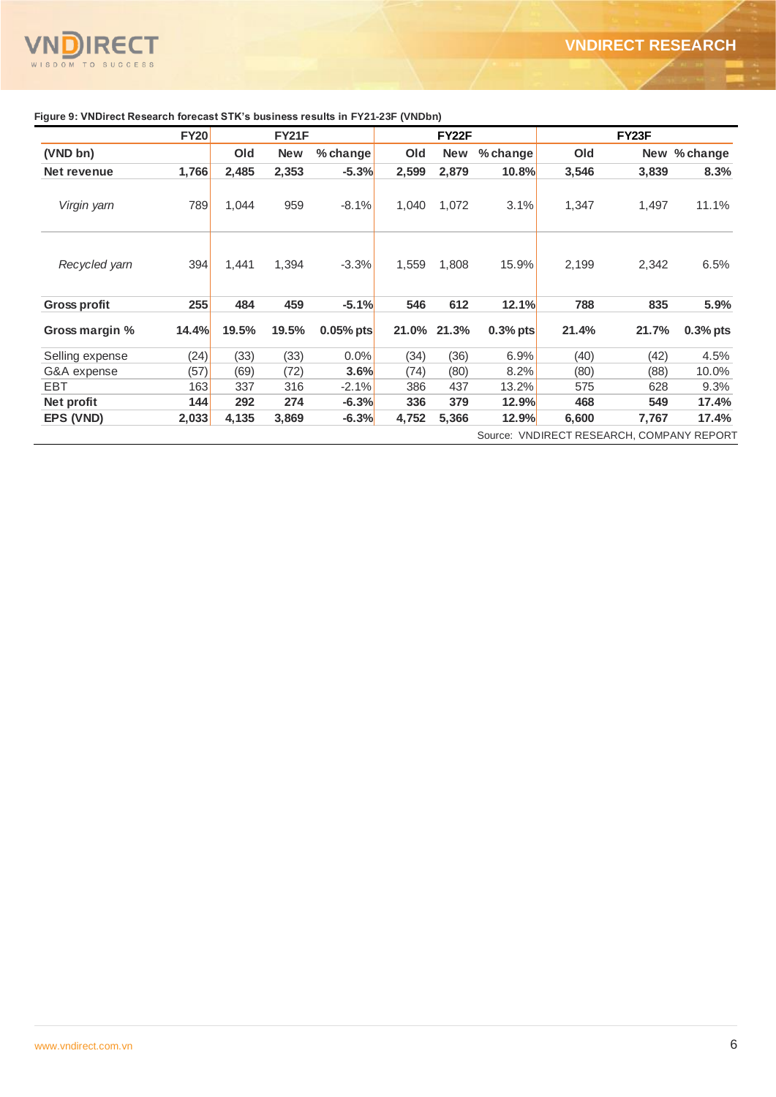

|                     | <b>FY20</b>  |       | FY21F      |             |       | FY22F      |              |                                           | FY <sub>23</sub> F |              |
|---------------------|--------------|-------|------------|-------------|-------|------------|--------------|-------------------------------------------|--------------------|--------------|
| (VND bn)            |              | Old   | <b>New</b> | % change    | Old   | <b>New</b> | % change     | Old                                       |                    | New % change |
| Net revenue         | 1,766        | 2,485 | 2,353      | $-5.3%$     | 2,599 | 2,879      | 10.8%        | 3,546                                     | 3,839              | 8.3%         |
| Virgin yarn         | 789          | 1,044 | 959        | $-8.1%$     | 1,040 | 1,072      | 3.1%         | 1,347                                     | 1,497              | 11.1%        |
| Recycled yarn       | 394          | 1,441 | 1,394      | $-3.3%$     | 1,559 | 1,808      | 15.9%        | 2,199                                     | 2,342              | 6.5%         |
| <b>Gross profit</b> | 255          | 484   | 459        | $-5.1%$     | 546   | 612        | 12.1%        | 788                                       | 835                | 5.9%         |
| Gross margin %      | <b>14.4%</b> | 19.5% | 19.5%      | $0.05%$ pts | 21.0% | 21.3%      | $0.3%$ pts   | 21.4%                                     | 21.7%              | $0.3%$ pts   |
| Selling expense     | (24)         | (33)  | (33)       | $0.0\%$     | (34)  | (36)       | 6.9%         | (40)                                      | (42)               | 4.5%         |
| G&A expense         | (57)         | (69)  | (72)       | 3.6%        | (74)  | (80)       | 8.2%         | (80)                                      | (88)               | 10.0%        |
| <b>EBT</b>          | 163          | 337   | 316        | $-2.1%$     | 386   | 437        | 13.2%        | 575                                       | 628                | 9.3%         |
| Net profit          | 144          | 292   | 274        | $-6.3%$     | 336   | 379        | 12.9%        | 468                                       | 549                | 17.4%        |
| EPS (VND)           | 2,033        | 4,135 | 3,869      | $-6.3%$     | 4,752 | 5,366      | <b>12.9%</b> | 6,600                                     | 7,767              | 17.4%        |
|                     |              |       |            |             |       |            |              | Source: VNDIRECT RESEARCH, COMPANY REPORT |                    |              |

# **Figure 9: VNDirect Research forecast STK's business results in FY21-23F (VNDbn)**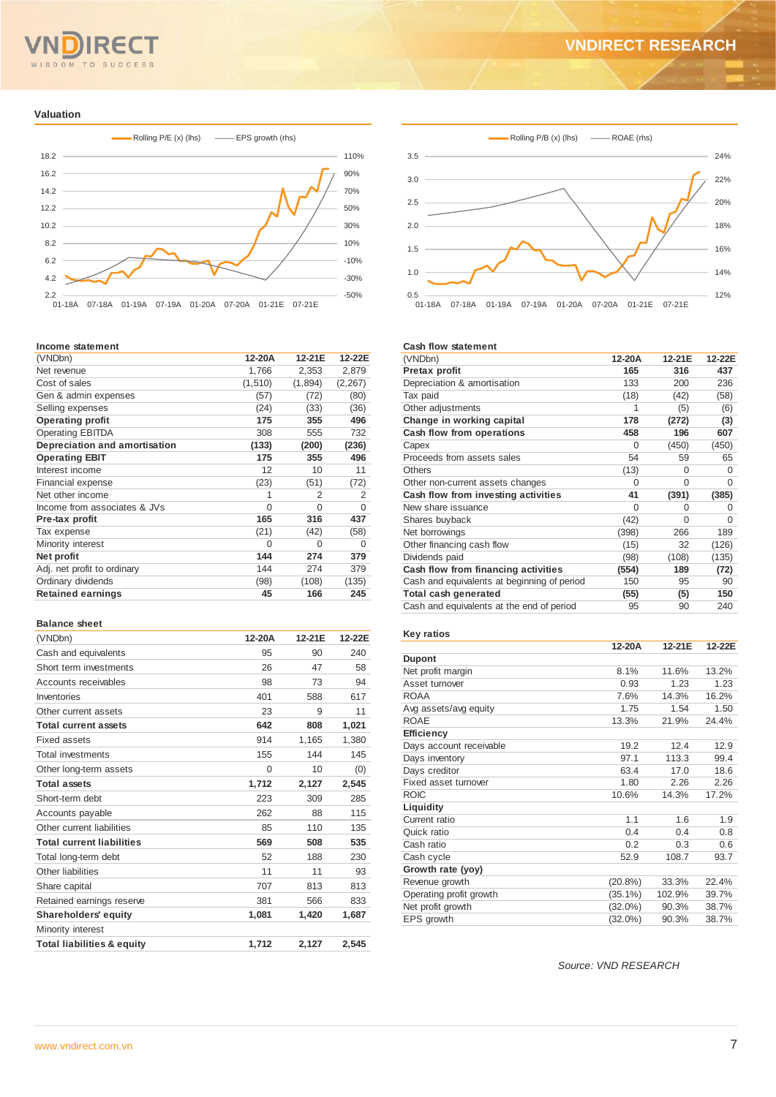#### T O **SUCCESS**  $\overline{M}$

## **VNDIRECT RESEARCH**

#### **Valuation**



#### **Income statement**

|                               |          | 12-21E  | 12-22E         |
|-------------------------------|----------|---------|----------------|
| (VNDbn)                       | 12-20A   |         |                |
| Net revenue                   | 1,766    | 2,353   | 2,879          |
| Cost of sales                 | (1, 510) | (1,894) | (2, 267)       |
| Gen & admin expenses          | (57)     | (72)    | (80)           |
| Selling expenses              | (24)     | (33)    | (36)           |
| <b>Operating profit</b>       | 175      | 355     | 496            |
| <b>Operating EBITDA</b>       | 308      | 555     | 732            |
| Depreciation and amortisation | (133)    | (200)   | (236)          |
| <b>Operating EBIT</b>         | 175      | 355     | 496            |
| Interest income               | 12       | 10      | 11             |
| Financial expense             | (23)     | (51)    | (72)           |
| Net other income              | 1        | 2       | $\overline{2}$ |
| Income from associates & JVs  | $\Omega$ | 0       | $\Omega$       |
| Pre-tax profit                | 165      | 316     | 437            |
| Tax expense                   | (21)     | (42)    | (58)           |
| Minority interest             | $\Omega$ | 0       | $\Omega$       |
| Net profit                    | 144      | 274     | 379            |
| Adj. net profit to ordinary   | 144      | 274     | 379            |
| Ordinary dividends            | (98)     | (108)   | (135)          |
| <b>Retained earnings</b>      | 45       | 166     | 245            |
|                               |          |         |                |

## **Balance sheet**

| (VNDbn)                               | 12-20A | 12-21E | 12-22E |
|---------------------------------------|--------|--------|--------|
| Cash and equivalents                  | 95     | 90     | 240    |
| Short term investments                | 26     | 47     | 58     |
| Accounts receivables                  | 98     | 73     | 94     |
| Inventories                           | 401    | 588    | 617    |
| Other current assets                  | 23     | 9      | 11     |
| <b>Total current assets</b>           | 642    | 808    | 1,021  |
| Fixed assets                          | 914    | 1,165  | 1.380  |
| Total investments                     | 155    | 144    | 145    |
| Other long-term assets                | 0      | 10     | (0)    |
| <b>Total assets</b>                   | 1,712  | 2,127  | 2,545  |
| Short-term debt                       | 223    | 309    | 285    |
| Accounts payable                      | 262    | 88     | 115    |
| Other current liabilities             | 85     | 110    | 135    |
| <b>Total current liabilities</b>      | 569    | 508    | 535    |
| Total long-term debt                  | 52     | 188    | 230    |
| Other liabilities                     | 11     | 11     | 93     |
| Share capital                         | 707    | 813    | 813    |
| Retained earnings reserve             | 381    | 566    | 833    |
| <b>Shareholders' equity</b>           | 1,081  | 1.420  | 1,687  |
| Minority interest                     |        |        |        |
| <b>Total liabilities &amp; equity</b> | 1.712  | 2,127  | 2.545  |



#### **Cash flow statement**

| (VNDbn)                                     | 12-20A   | 12-21E   | 12-22E   |
|---------------------------------------------|----------|----------|----------|
| Pretax profit                               | 165      | 316      | 437      |
| Depreciation & amortisation                 | 133      | 200      | 236      |
| Tax paid                                    | (18)     | (42)     | (58)     |
| Other adjustments                           | 1        | (5)      | (6)      |
| Change in working capital                   | 178      | (272)    | (3)      |
| Cash flow from operations                   | 458      | 196      | 607      |
| Capex                                       | $\Omega$ | (450)    | (450)    |
| Proceeds from assets sales                  | 54       | 59       | 65       |
| Others                                      | (13)     | 0        | $\Omega$ |
| Other non-current assets changes            | $\Omega$ | $\Omega$ | $\Omega$ |
| Cash flow from investing activities         | 41       | (391)    | (385)    |
| New share issuance                          | $\Omega$ | O        | $\Omega$ |
| Shares buyback                              | (42)     | $\Omega$ | $\Omega$ |
| Net borrowings                              | (398)    | 266      | 189      |
| Other financing cash flow                   | (15)     | 32       | (126)    |
| Dividends paid                              | (98)     | (108)    | (135)    |
| Cash flow from financing activities         | (554)    | 189      | (72)     |
| Cash and equivalents at beginning of period | 150      | 95       | 90       |
| Total cash generated                        | (55)     | (5)      | 150      |
| Cash and equivalents at the end of period   | 95       | 90       | 240      |

## **Key ratios**

|                         | 12-20A     | 12-21E | 12-22E |
|-------------------------|------------|--------|--------|
| <b>Dupont</b>           |            |        |        |
| Net profit margin       | 8.1%       | 11.6%  | 13.2%  |
| Asset turnover          | 0.93       | 1.23   | 1.23   |
| <b>ROAA</b>             | 7.6%       | 14.3%  | 16.2%  |
| Avg assets/avg equity   | 1.75       | 1.54   | 1.50   |
| <b>ROAE</b>             | 13.3%      | 21.9%  | 24.4%  |
| Efficiency              |            |        |        |
| Days account receivable | 19.2       | 12.4   | 12.9   |
| Days inventory          | 97.1       | 113.3  | 99.4   |
| Days creditor           | 63.4       | 17.0   | 18.6   |
| Fixed asset turnover    | 1.80       | 2.26   | 2.26   |
| <b>ROIC</b>             | 10.6%      | 14.3%  | 17.2%  |
| Liquidity               |            |        |        |
| Current ratio           | 1.1        | 1.6    | 1.9    |
| Quick ratio             | 0.4        | 0.4    | 0.8    |
| Cash ratio              | 0.2        | 0.3    | 0.6    |
| Cash cycle              | 52.9       | 108.7  | 93.7   |
| Growth rate (yoy)       |            |        |        |
| Revenue growth          | $(20.8\%)$ | 33.3%  | 22.4%  |
| Operating profit growth | $(35.1\%)$ | 102.9% | 39.7%  |
| Net profit growth       | $(32.0\%)$ | 90.3%  | 38.7%  |
| EPS growth              | $(32.0\%)$ | 90.3%  | 38.7%  |

*Source: VND RESEARCH*